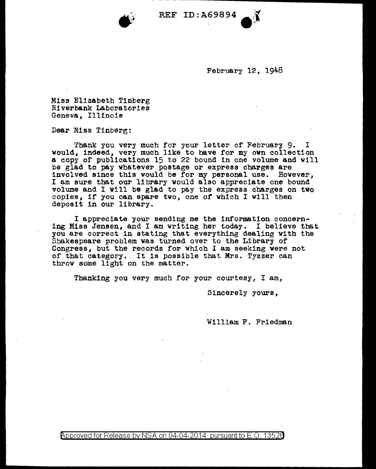

- - - - --------------------

February 12, 1948

Miss Elizabeth Tinberg Riverbank Laboratories Geneva, Illinois

Dear Miss Tinberg:

Thank you very much for your letter of February 9. I would, indeed, very much like to have for my own collection a eopy of publications 15 to 22 bound in one volume and will be glad to pay whatever postage or express charges are involved since this would be for my personal use. However, I am sure tbat our library would also appreciate one bound volume and I·v111 be glad to pay the express charges on two copies, if you can spare two, one of which I will then deposit in our library.

I appreciate your sending me the information concerning Miss Jensen, and I am writing her today. I believe that you are correct in stating that everything dealing with the Shakespeare problem vas turned over to the Library of Congress, but the records for which I am seeking vere not of that category. It is possible that Mrs. Tyzzer can throw some light on the matter.

Thanking you very much for your courtesy, I am,

Sincerely yours,

William F. Friedman

Approved for Release by NSA on 04-04-2014 pursuant to E.O. 1352a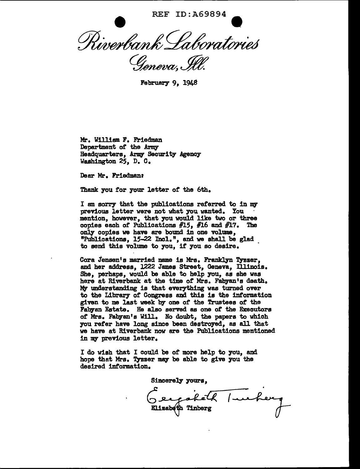REF ID: A69894 Riverbank Laboratories Geneva, Ill.

February 9, 1948

Mr. William F. Friedman Department of the Army Headquarters, Army Security Agency Washington 25, D. C.

Dear Mr. Friedman:

Thank you for your letter of the 6th.

I am sorry that the publications referred to in my previous letter were not what you wanted. You mention, however, that you would like two or three copies each of Publications #15, #16 and #17. The only copies we have are bound in one volume, "Publications, 15-22 Incl.", and we shall be glad to send this volume to you, if you so desire.

Cora Jensen's married name is Mrs. Franklyn Tyzzer, end her address, 1222 James Street, Geneva, Illinois. She, perhaps, would be able to help you, as she was here at Riverbank at the time of Mrs. Fabyan'a death. Mr understanding is that everything was turned over to the Library of Congress and this is the information given to me last week by one of the Trustees of the Fabyan Estate. He also served as one of the Executors of Mrs. Fabyan's Will. No doubt, the papers to which you refer have long since been destroyed, as all that we have at Riverbank now are the Publications mentioned in my previous letter.

I do wish that I could be or more help to you, and hope that Mrs. Tyzzer may be able to give you the desired information.

Sincerely yours. Geographeth / wecherg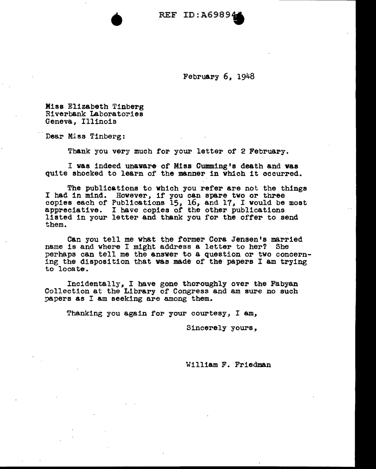• REF ID:A6989.

February 6, 1948

Mias Elizabeth Tinberg Riverbank Laboratories Geneva, Illinois

Dear Miss Tinberg:

Thank you very much for your letter of 2 February.

I was indeed unaware of Miss Cumming's death and waa quite shocked to learn of the manner in which it occurred.

The publications to which you refer are not the things I had in mind. However, if you can spare two or three copies each of Publications 15, 16, and 17, I would be moat appreciative. I have copies of the other publications listed in your letter and thank you for the offer to send them.

Can you tell me what the former Cora Jensen's married name is and where I might address a letter to her? She perhaps can tell me the answer to a question or two concerning the disposition that vas made of the papers I am trying to locate ..

Incidentally, I have gone thoroughly over the Fabyan Collection at the Library of Congress and am sure no such papers as I am seeking are among them.

Thanking you again for your courtesy, I am,

Sincerely yours,

William F. Friedman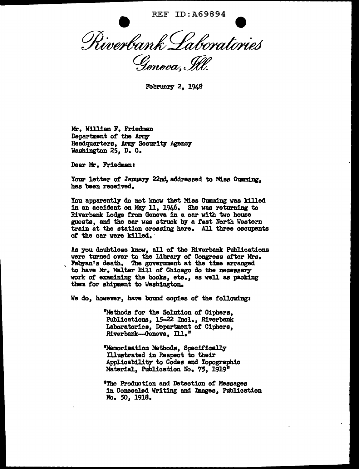REF ID:A69894 Riverbank Laboratories Geneva, Ill.

February 2, 1948

Mr. William F. Friedman Department of the Army Headquarters, *Artq* Security Agency Washington 25, D. C.

Dear Mr. Friedman:

Your letter of January 22nd, addressed to Miss Cumming, has been received.

You apparently do not know that Miss Cumming was killed in an accident on May 11, 1946. She was returning to Riverbank Lodge from Geneva in a car with two house guests, and the car was struck by a fast North Western train at the station crossing here. All three occupants *ot* the car were killed. ·

As you doubtless know, all of the Riverbank Publications were turned over to the Library of Congress after Mrs. were turned over the Library of Congress at the Library arranged. The government at the time arranged to have Mr. Walter Hill of Chicago do the necessary work or examining the books, etc., as well as packing them tor shipnant to Washington.

We do, however, have bound copies *ot* the followings

''Methods for the Solution of Ciphers, Publications, 15-22 Incl., Riverbank Laboratories, Department of Ciphers, Riverbank--Geneva, **Ill.**"

"Memorization Methods, Specifically Illustrated in Respect to their Applicability to Codes and Topographic Material, Publication No. 75, 1919"

"The Production and Detection *ot* Messages in Concealed Writing and Jmages, Publication No. 50, 1918.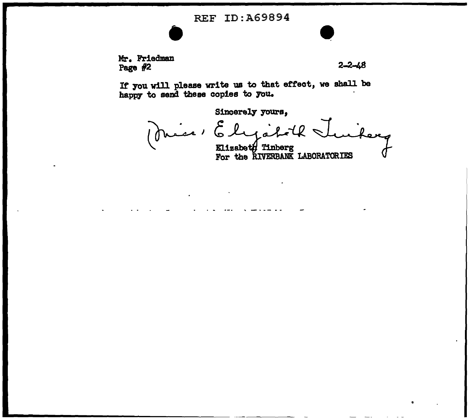## REF ID:A69894

**e**<br>**a** Mr. Friedman Page  $#2$ 

 $\bullet$ 

If you will please write us to that effect, we shall be happy to send these copies to you.

> Sincerely vours,<br>Miss : Elystel حعد  $'$ Elizabeth Tinberg<br>For the RIVERBANK LABORATORIES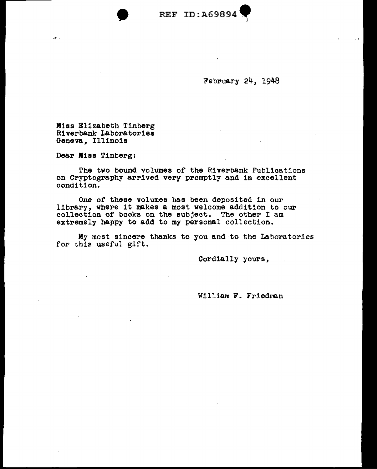

February 24, 1948

)

Miss Elizabeth Tinberg Riverbank Laboratories Geneva, Illinois

 $\bullet$ 

Dear Miss Tinberg:

 $\mathcal{P}^{\mathrm{b}}_{\mathbf{C}}$  .

The two bound volumes of the Riverbank Publications on Cryptography arrived very promptly and in excellent condition.

One of these volumes has been deposited in our library, where it makes a most welcome addition to our collection of books on the subject. The other I am extremely happy to add to my personal collection.

My most sincere thanks to you and·to the Laboratories for this useful gift.

Cordially yours,

 $\sim 10^6$ 

William F. Friedman